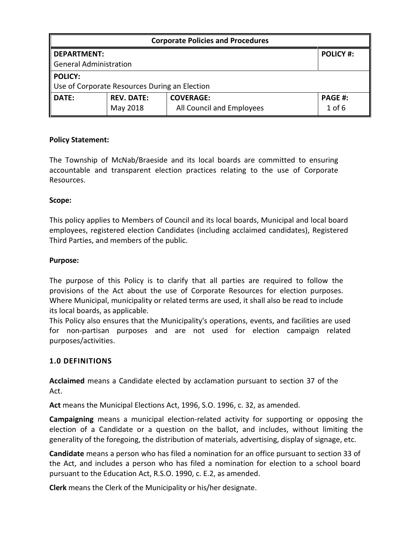| <b>Corporate Policies and Procedures</b>      |                   |                           |                  |  |
|-----------------------------------------------|-------------------|---------------------------|------------------|--|
| l DEPARTMENT:                                 |                   |                           | <b>POLICY #:</b> |  |
| General Administration                        |                   |                           |                  |  |
| POLICY:                                       |                   |                           |                  |  |
| Use of Corporate Resources During an Election |                   |                           |                  |  |
| <b>DATE:</b>                                  | <b>REV. DATE:</b> | <b>COVERAGE:</b>          | <b>PAGE #:</b>   |  |
|                                               | May 2018          | All Council and Employees | $1$ of $6$       |  |

### Policy Statement:

The Township of McNab/Braeside and its local boards are committed to ensuring accountable and transparent election practices relating to the use of Corporate Resources.

### Scope:

This policy applies to Members of Council and its local boards, Municipal and local board employees, registered election Candidates (including acclaimed candidates), Registered Third Parties, and members of the public.

#### Purpose:

The purpose of this Policy is to clarify that all parties are required to follow the provisions of the Act about the use of Corporate Resources for election purposes. Where Municipal, municipality or related terms are used, it shall also be read to include its local boards, as applicable.

This Policy also ensures that the Municipality's operations, events, and facilities are used for non-partisan purposes and are not used for election campaign related purposes/activities.

#### 1.0 DEFINITIONS

Acclaimed means a Candidate elected by acclamation pursuant to section 37 of the Act.

Act means the Municipal Elections Act, 1996, S.O. 1996, c. 32, as amended.

Campaigning means a municipal election-related activity for supporting or opposing the election of a Candidate or a question on the ballot, and includes, without limiting the generality of the foregoing, the distribution of materials, advertising, display of signage, etc.

Candidate means a person who has filed a nomination for an office pursuant to section 33 of the Act, and includes a person who has filed a nomination for election to a school board pursuant to the Education Act, R.S.O. 1990, c. E.2, as amended.

Clerk means the Clerk of the Municipality or his/her designate.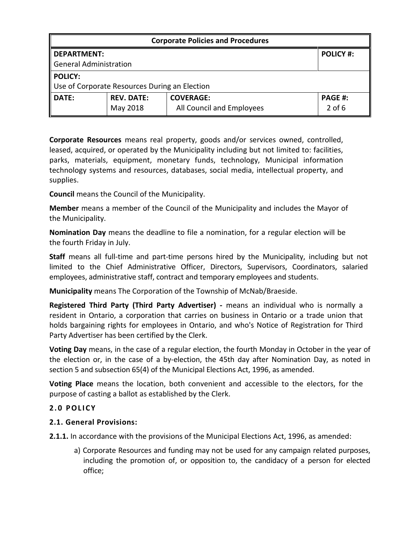| <b>Corporate Policies and Procedures</b>      |                   |                           |                  |  |
|-----------------------------------------------|-------------------|---------------------------|------------------|--|
| <b>DEPARTMENT:</b>                            |                   |                           | <b>POLICY #:</b> |  |
| <b>General Administration</b>                 |                   |                           |                  |  |
| <b>POLICY:</b>                                |                   |                           |                  |  |
| Use of Corporate Resources During an Election |                   |                           |                  |  |
| <b>DATE:</b>                                  | <b>REV. DATE:</b> | <b>COVERAGE:</b>          | <b>PAGE #:</b>   |  |
|                                               | May 2018          | All Council and Employees | $2$ of 6         |  |

Corporate Resources means real property, goods and/or services owned, controlled, leased, acquired, or operated by the Municipality including but not limited to: facilities, parks, materials, equipment, monetary funds, technology, Municipal information technology systems and resources, databases, social media, intellectual property, and supplies.

Council means the Council of the Municipality.

Member means a member of the Council of the Municipality and includes the Mayor of the Municipality.

Nomination Day means the deadline to file a nomination, for a regular election will be the fourth Friday in July.

Staff means all full-time and part-time persons hired by the Municipality, including but not limited to the Chief Administrative Officer, Directors, Supervisors, Coordinators, salaried employees, administrative staff, contract and temporary employees and students.

Municipality means The Corporation of the Township of McNab/Braeside.

Registered Third Party (Third Party Advertiser) - means an individual who is normally a resident in Ontario, a corporation that carries on business in Ontario or a trade union that holds bargaining rights for employees in Ontario, and who's Notice of Registration for Third Party Advertiser has been certified by the Clerk.

Voting Day means, in the case of a regular election, the fourth Monday in October in the year of the election or, in the case of a by-election, the 45th day after Nomination Day, as noted in section 5 and subsection 65(4) of the Municipal Elections Act, 1996, as amended.

Voting Place means the location, both convenient and accessible to the electors, for the purpose of casting a ballot as established by the Clerk.

# 2.0 POLICY

# 2.1. General Provisions:

2.1.1. In accordance with the provisions of the Municipal Elections Act, 1996, as amended:

a) Corporate Resources and funding may not be used for any campaign related purposes, including the promotion of, or opposition to, the candidacy of a person for elected office;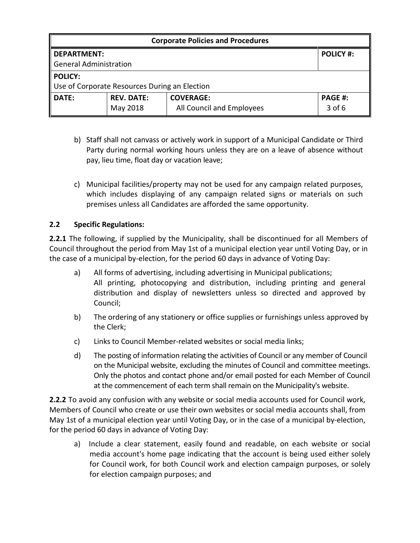| <b>Corporate Policies and Procedures</b>      |                   |                           |                  |  |
|-----------------------------------------------|-------------------|---------------------------|------------------|--|
| <b>DEPARTMENT:</b>                            |                   |                           | <b>POLICY #:</b> |  |
| <b>General Administration</b>                 |                   |                           |                  |  |
| <b>POLICY:</b>                                |                   |                           |                  |  |
| Use of Corporate Resources During an Election |                   |                           |                  |  |
| <b>DATE:</b>                                  | <b>REV. DATE:</b> | <b>COVERAGE:</b>          | <b>PAGE #:</b>   |  |
|                                               | May 2018          | All Council and Employees | $3$ of 6         |  |

- b) Staff shall not canvass or actively work in support of a Municipal Candidate or Third Party during normal working hours unless they are on a leave of absence without pay, lieu time, float day or vacation leave;
- c) Municipal facilities/property may not be used for any campaign related purposes, which includes displaying of any campaign related signs or materials on such premises unless all Candidates are afforded the same opportunity.

## 2.2 Specific Regulations:

2.2.1 The following, if supplied by the Municipality, shall be discontinued for all Members of Council throughout the period from May 1st of a municipal election year until Voting Day, or in the case of a municipal by-election, for the period 60 days in advance of Voting Day:

- a) All forms of advertising, including advertising in Municipal publications; All printing, photocopying and distribution, including printing and general distribution and display of newsletters unless so directed and approved by Council;
- b) The ordering of any stationery or office supplies or furnishings unless approved by the Clerk;
- c) Links to Council Member-related websites or social media links;
- d) The posting of information relating the activities of Council or any member of Council on the Municipal website, excluding the minutes of Council and committee meetings. Only the photos and contact phone and/or email posted for each Member of Council at the commencement of each term shall remain on the Municipality's website.

**2.2.2** To avoid any confusion with any website or social media accounts used for Council work, Members of Council who create or use their own websites or social media accounts shall, from May 1st of a municipal election year until Voting Day, or in the case of a municipal by-election, for the period 60 days in advance of Voting Day:

a) Include a clear statement, easily found and readable, on each website or social media account's home page indicating that the account is being used either solely for Council work, for both Council work and election campaign purposes, or solely for election campaign purposes; and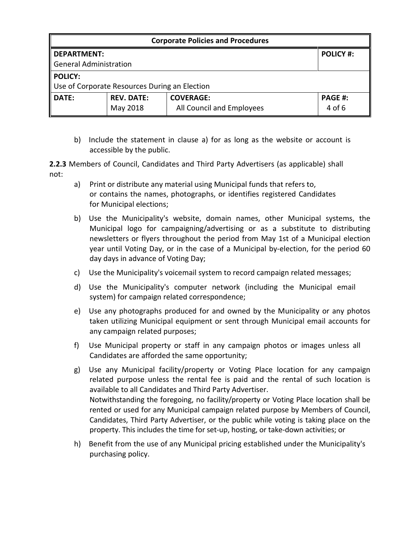| <b>Corporate Policies and Procedures</b>      |                   |                           |                  |  |
|-----------------------------------------------|-------------------|---------------------------|------------------|--|
| <b>DEPARTMENT:</b>                            |                   |                           | <b>POLICY #:</b> |  |
| <b>General Administration</b>                 |                   |                           |                  |  |
| <b>POLICY:</b>                                |                   |                           |                  |  |
| Use of Corporate Resources During an Election |                   |                           |                  |  |
| DATE:                                         | <b>REV. DATE:</b> | <b>COVERAGE:</b>          | <b>PAGE #:</b>   |  |
|                                               | May 2018          | All Council and Employees | $4$ of 6         |  |

b) Include the statement in clause a) for as long as the website or account is accessible by the public.

2.2.3 Members of Council, Candidates and Third Party Advertisers (as applicable) shall not:

- a) Print or distribute any material using Municipal funds that refers to, or contains the names, photographs, or identifies registered Candidates for Municipal elections;
- b) Use the Municipality's website, domain names, other Municipal systems, the Municipal logo for campaigning/advertising or as a substitute to distributing newsletters or flyers throughout the period from May 1st of a Municipal election year until Voting Day, or in the case of a Municipal by-election, for the period 60 day days in advance of Voting Day;
- c) Use the Municipality's voicemail system to record campaign related messages;
- d) Use the Municipality's computer network (including the Municipal email system) for campaign related correspondence;
- e) Use any photographs produced for and owned by the Municipality or any photos taken utilizing Municipal equipment or sent through Municipal email accounts for any campaign related purposes;
- f) Use Municipal property or staff in any campaign photos or images unless all Candidates are afforded the same opportunity;
- g) Use any Municipal facility/property or Voting Place location for any campaign related purpose unless the rental fee is paid and the rental of such location is available to all Candidates and Third Party Advertiser. Notwithstanding the foregoing, no facility/property or Voting Place location shall be rented or used for any Municipal campaign related purpose by Members of Council, Candidates, Third Party Advertiser, or the public while voting is taking place on the property. This includes the time for set-up, hosting, or take-down activities; or
- h) Benefit from the use of any Municipal pricing established under the Municipality's purchasing policy.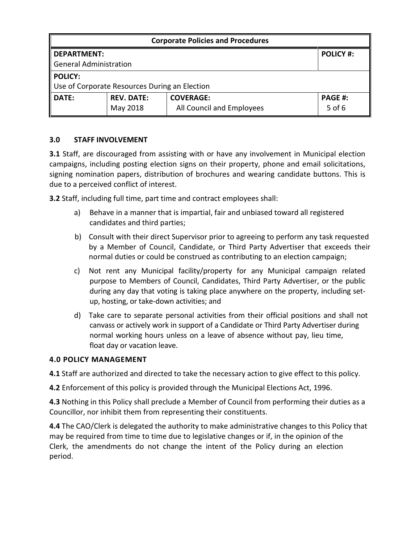| <b>Corporate Policies and Procedures</b>      |                   |                           |                  |  |
|-----------------------------------------------|-------------------|---------------------------|------------------|--|
| <b>DEPARTMENT:</b>                            |                   |                           | <b>POLICY #:</b> |  |
| General Administration                        |                   |                           |                  |  |
| <b>POLICY:</b>                                |                   |                           |                  |  |
| Use of Corporate Resources During an Election |                   |                           |                  |  |
| <b>DATE:</b>                                  | <b>REV. DATE:</b> | <b>COVERAGE:</b>          | <b>PAGE #:</b>   |  |
|                                               | May 2018          | All Council and Employees | $5$ of 6         |  |

## 3.0 STAFF INVOLVEMENT

**3.1** Staff, are discouraged from assisting with or have any involvement in Municipal election campaigns, including posting election signs on their property, phone and email solicitations, signing nomination papers, distribution of brochures and wearing candidate buttons. This is due to a perceived conflict of interest.

3.2 Staff, including full time, part time and contract employees shall:

- a) Behave in a manner that is impartial, fair and unbiased toward all registered candidates and third parties;
- b) Consult with their direct Supervisor prior to agreeing to perform any task requested by a Member of Council, Candidate, or Third Party Advertiser that exceeds their normal duties or could be construed as contributing to an election campaign;
- c) Not rent any Municipal facility/property for any Municipal campaign related purpose to Members of Council, Candidates, Third Party Advertiser, or the public during any day that voting is taking place anywhere on the property, including setup, hosting, or take-down activities; and
- d) Take care to separate personal activities from their official positions and shall not canvass or actively work in support of a Candidate or Third Party Advertiser during normal working hours unless on a leave of absence without pay, lieu time, float day or vacation leave.

### 4.0 POLICY MANAGEMENT

4.1 Staff are authorized and directed to take the necessary action to give effect to this policy.

4.2 Enforcement of this policy is provided through the Municipal Elections Act, 1996.

4.3 Nothing in this Policy shall preclude a Member of Council from performing their duties as a Councillor, nor inhibit them from representing their constituents.

4.4 The CAO/Clerk is delegated the authority to make administrative changes to this Policy that may be required from time to time due to legislative changes or if, in the opinion of the Clerk, the amendments do not change the intent of the Policy during an election period.